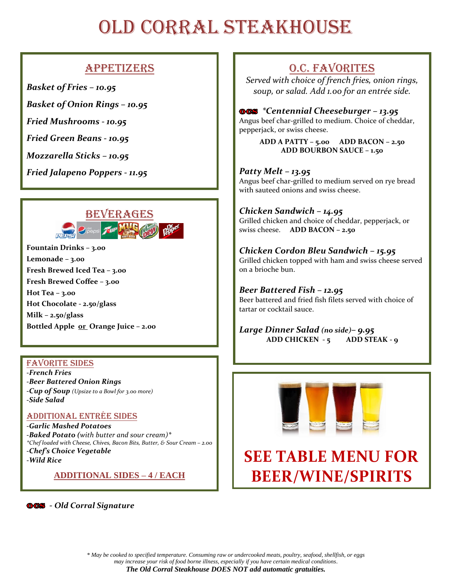## OLD CORRAL STEAKHOUSE

### Appetizers

*Basket of Fries – 10.95*

*Basket of Onion Rings – 10.95*

*Fried Mushrooms - 10.95*

*Fried Green Beans - 10.95*

*Mozzarella Sticks – 10.95*

*Fried Jalapeno Poppers - 11.95*



**Fountain Drinks – 3.00 Lemonade – 3.00 Fresh Brewed Iced Tea – 3.00 Fresh Brewed Coffee – 3.00 Hot Tea – 3.00 Hot Chocolate - 2.50/glass Milk – 2.50/glass Bottled Apple or Orange Juice – 2.00**

#### Favorite Sides

*-French Fries -Beer Battered Onion Rings -Cup of Soup (Upsize to a Bowl for 3.00 more) -Side Salad*

#### Additional Entrée Sides

*-Garlic Mashed Potatoes -Baked Potato (with butter and sour cream)\* \*Chef loaded with Cheese, Chives, Bacon Bits, Butter, & Sour Cream – 2.00 -Chef's Choice Vegetable -Wild Rice*

**ADDITIONAL SIDES – 4 / EACH**

#### *- Old Corral Signature*

### O.C. Favorites

*Served with choice of french fries, onion rings, soup, or salad. Add 1.00 for an entrée side.*

#### *\*Centennial Cheeseburger – 13.95*

Angus beef char-grilled to medium. Choice of cheddar, pepperjack, or swiss cheese.

> **ADD A PATTY – 5.00 ADD BACON – 2.50 ADD BOURBON SAUCE – 1.50**

#### *Patty Melt – 13.95*

Angus beef char-grilled to medium served on rye bread with sauteed onions and swiss cheese.

#### *Chicken Sandwich – 14.95*

Grilled chicken and choice of cheddar, pepperjack, or swiss cheese. **ADD BACON – 2.50**

#### *Chicken Cordon Bleu Sandwich – 15.95*

Grilled chicken topped with ham and swiss cheese served on a brioche bun.

#### *Beer Battered Fish – 12.95*

Beer battered and fried fish filets served with choice of tartar or cocktail sauce.

*Large Dinner Salad (no side)– 9.95* **ADD CHICKEN - 5 ADD STEAK - 9**



## **SEE TABLE MENU FOR BEER/WINE/SPIRITS**

*\* May be cooked to specified temperature. Consuming raw or undercooked meats, poultry, seafood, shellfish, or eggs may increase your risk of food borne illness, especially if you have certain medical conditions*. *The Old Corral Steakhouse DOES NOT add automatic gratuities.*